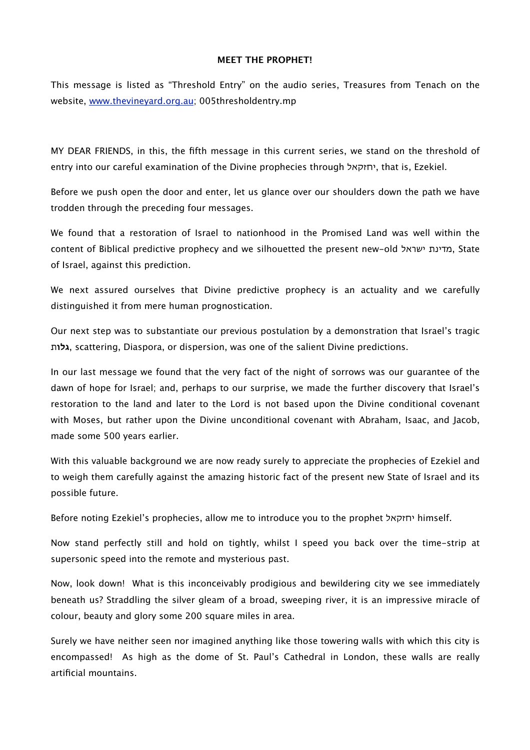## **MEET THE PROPHET!**

This message is listed as "Threshold Entry" on the audio series, Treasures from Tenach on the website, [www.thevineyard.org.au](http://www.thevineyard.org.au); 005thresholdentry.mp

MY DEAR FRIENDS, in this, the fifth message in this current series, we stand on the threshold of entry into our careful examination of the Divine prophecies through יחזקאל, that is, Ezekiel.

Before we push open the door and enter, let us glance over our shoulders down the path we have trodden through the preceding four messages.

We found that a restoration of Israel to nationhood in the Promised Land was well within the content of Biblical predictive prophecy and we silhouetted the present new-old ישראל מדינת, State of Israel, against this prediction.

We next assured ourselves that Divine predictive prophecy is an actuality and we carefully distinguished it from mere human prognostication.

Our next step was to substantiate our previous postulation by a demonstration that Israel's tragic **גלו**ת, scattering, Diaspora, or dispersion, was one of the salient Divine predictions.

In our last message we found that the very fact of the night of sorrows was our guarantee of the dawn of hope for Israel; and, perhaps to our surprise, we made the further discovery that Israel's restoration to the land and later to the Lord is not based upon the Divine conditional covenant with Moses, but rather upon the Divine unconditional covenant with Abraham, Isaac, and Jacob, made some 500 years earlier.

With this valuable background we are now ready surely to appreciate the prophecies of Ezekiel and to weigh them carefully against the amazing historic fact of the present new State of Israel and its possible future.

Before noting Ezekiel's prophecies, allow me to introduce you to the prophet יחזקאל himself.

Now stand perfectly still and hold on tightly, whilst I speed you back over the time-strip at supersonic speed into the remote and mysterious past.

Now, look down! What is this inconceivably prodigious and bewildering city we see immediately beneath us? Straddling the silver gleam of a broad, sweeping river, it is an impressive miracle of colour, beauty and glory some 200 square miles in area.

Surely we have neither seen nor imagined anything like those towering walls with which this city is encompassed! As high as the dome of St. Paul's Cathedral in London, these walls are really artificial mountains.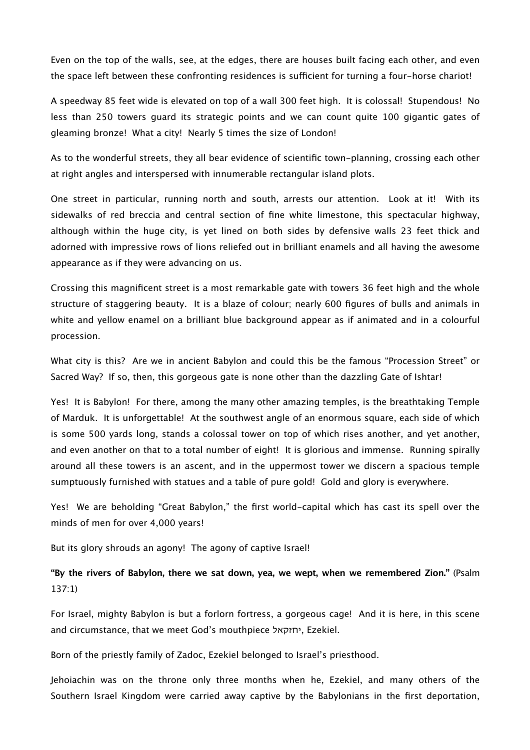Even on the top of the walls, see, at the edges, there are houses built facing each other, and even the space left between these confronting residences is sufficient for turning a four-horse chariot!

A speedway 85 feet wide is elevated on top of a wall 300 feet high. It is colossal! Stupendous! No less than 250 towers guard its strategic points and we can count quite 100 gigantic gates of gleaming bronze! What a city! Nearly 5 times the size of London!

As to the wonderful streets, they all bear evidence of scientific town-planning, crossing each other at right angles and interspersed with innumerable rectangular island plots.

One street in particular, running north and south, arrests our attention. Look at it! With its sidewalks of red breccia and central section of fine white limestone, this spectacular highway, although within the huge city, is yet lined on both sides by defensive walls 23 feet thick and adorned with impressive rows of lions reliefed out in brilliant enamels and all having the awesome appearance as if they were advancing on us.

Crossing this magnificent street is a most remarkable gate with towers 36 feet high and the whole structure of staggering beauty. It is a blaze of colour; nearly 600 figures of bulls and animals in white and yellow enamel on a brilliant blue background appear as if animated and in a colourful procession.

What city is this? Are we in ancient Babylon and could this be the famous "Procession Street" or Sacred Way? If so, then, this gorgeous gate is none other than the dazzling Gate of Ishtar!

Yes! It is Babylon! For there, among the many other amazing temples, is the breathtaking Temple of Marduk. It is unforgettable! At the southwest angle of an enormous square, each side of which is some 500 yards long, stands a colossal tower on top of which rises another, and yet another, and even another on that to a total number of eight! It is glorious and immense. Running spirally around all these towers is an ascent, and in the uppermost tower we discern a spacious temple sumptuously furnished with statues and a table of pure gold! Gold and glory is everywhere.

Yes! We are beholding "Great Babylon," the first world-capital which has cast its spell over the minds of men for over 4,000 years!

But its glory shrouds an agony! The agony of captive Israel!

**"By the rivers of Babylon, there we sat down, yea, we wept, when we remembered Zion."** (Psalm 137:1)

For Israel, mighty Babylon is but a forlorn fortress, a gorgeous cage! And it is here, in this scene and circumstance, that we meet God's mouthpiece יחזקאל, Ezekiel.

Born of the priestly family of Zadoc, Ezekiel belonged to Israel's priesthood.

Jehoiachin was on the throne only three months when he, Ezekiel, and many others of the Southern Israel Kingdom were carried away captive by the Babylonians in the first deportation,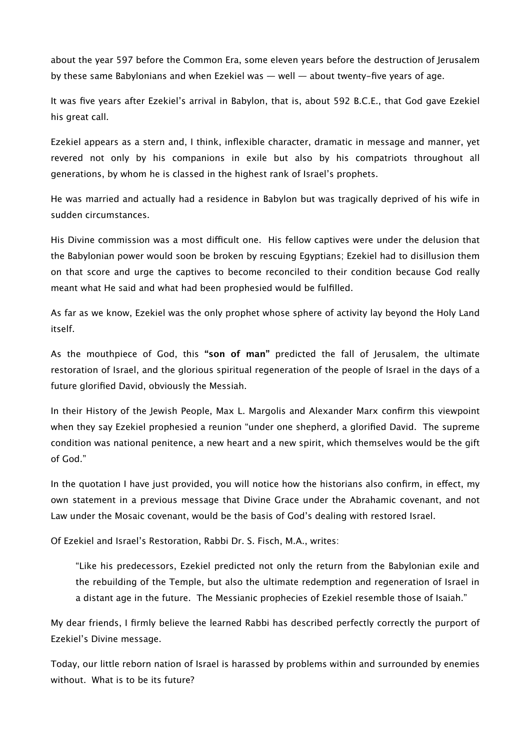about the year 597 before the Common Era, some eleven years before the destruction of Jerusalem by these same Babylonians and when Ezekiel was — well — about twenty-five years of age.

It was five years after Ezekiel's arrival in Babylon, that is, about 592 B.C.E., that God gave Ezekiel his great call.

Ezekiel appears as a stern and, I think, inflexible character, dramatic in message and manner, yet revered not only by his companions in exile but also by his compatriots throughout all generations, by whom he is classed in the highest rank of Israel's prophets.

He was married and actually had a residence in Babylon but was tragically deprived of his wife in sudden circumstances.

His Divine commission was a most difficult one. His fellow captives were under the delusion that the Babylonian power would soon be broken by rescuing Egyptians; Ezekiel had to disillusion them on that score and urge the captives to become reconciled to their condition because God really meant what He said and what had been prophesied would be fulfilled.

As far as we know, Ezekiel was the only prophet whose sphere of activity lay beyond the Holy Land itself.

As the mouthpiece of God, this **"son of man"** predicted the fall of Jerusalem, the ultimate restoration of Israel, and the glorious spiritual regeneration of the people of Israel in the days of a future glorified David, obviously the Messiah.

In their History of the Jewish People, Max L. Margolis and Alexander Marx confirm this viewpoint when they say Ezekiel prophesied a reunion "under one shepherd, a glorified David. The supreme condition was national penitence, a new heart and a new spirit, which themselves would be the gift of God."

In the quotation I have just provided, you will notice how the historians also confirm, in effect, my own statement in a previous message that Divine Grace under the Abrahamic covenant, and not Law under the Mosaic covenant, would be the basis of God's dealing with restored Israel.

Of Ezekiel and Israel's Restoration, Rabbi Dr. S. Fisch, M.A., writes:

"Like his predecessors, Ezekiel predicted not only the return from the Babylonian exile and the rebuilding of the Temple, but also the ultimate redemption and regeneration of Israel in a distant age in the future. The Messianic prophecies of Ezekiel resemble those of Isaiah."

My dear friends, I firmly believe the learned Rabbi has described perfectly correctly the purport of Ezekiel's Divine message.

Today, our little reborn nation of Israel is harassed by problems within and surrounded by enemies without. What is to be its future?